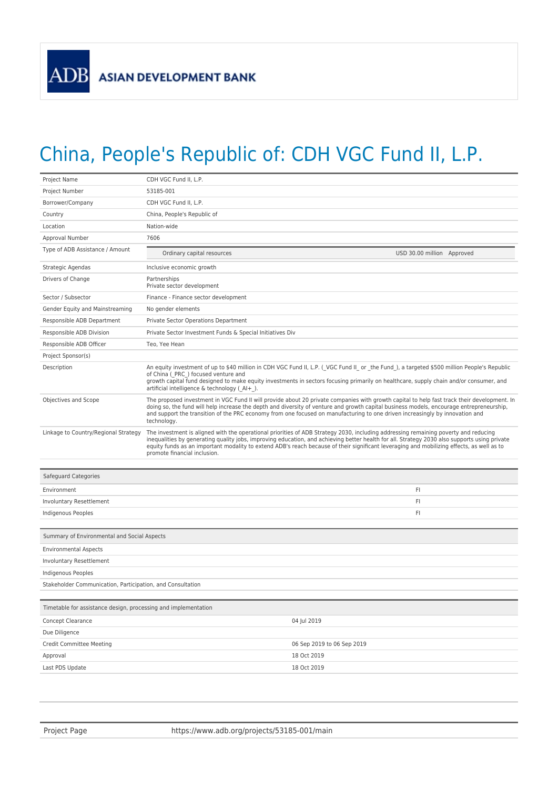## China, People's Republic of: CDH VGC Fund II, L.P.

| Project Name                                                   | CDH VGC Fund II, L.P.                                                                                                                                                                                                                                                                                                                                                                                                                                            |                            |  |
|----------------------------------------------------------------|------------------------------------------------------------------------------------------------------------------------------------------------------------------------------------------------------------------------------------------------------------------------------------------------------------------------------------------------------------------------------------------------------------------------------------------------------------------|----------------------------|--|
| Project Number                                                 | 53185-001                                                                                                                                                                                                                                                                                                                                                                                                                                                        |                            |  |
| Borrower/Company                                               | CDH VGC Fund II, L.P.                                                                                                                                                                                                                                                                                                                                                                                                                                            |                            |  |
| Country                                                        | China, People's Republic of                                                                                                                                                                                                                                                                                                                                                                                                                                      |                            |  |
| Location                                                       | Nation-wide                                                                                                                                                                                                                                                                                                                                                                                                                                                      |                            |  |
| Approval Number                                                | 7606                                                                                                                                                                                                                                                                                                                                                                                                                                                             |                            |  |
| Type of ADB Assistance / Amount                                | Ordinary capital resources                                                                                                                                                                                                                                                                                                                                                                                                                                       | USD 30.00 million Approved |  |
| Strategic Agendas                                              | Inclusive economic growth                                                                                                                                                                                                                                                                                                                                                                                                                                        |                            |  |
| Drivers of Change                                              | Partnerships<br>Private sector development                                                                                                                                                                                                                                                                                                                                                                                                                       |                            |  |
| Sector / Subsector                                             | Finance - Finance sector development                                                                                                                                                                                                                                                                                                                                                                                                                             |                            |  |
| Gender Equity and Mainstreaming                                | No gender elements                                                                                                                                                                                                                                                                                                                                                                                                                                               |                            |  |
| Responsible ADB Department                                     | Private Sector Operations Department                                                                                                                                                                                                                                                                                                                                                                                                                             |                            |  |
| Responsible ADB Division                                       | Private Sector Investment Funds & Special Initiatives Div                                                                                                                                                                                                                                                                                                                                                                                                        |                            |  |
| Responsible ADB Officer                                        | Teo, Yee Hean                                                                                                                                                                                                                                                                                                                                                                                                                                                    |                            |  |
| Project Sponsor(s)                                             |                                                                                                                                                                                                                                                                                                                                                                                                                                                                  |                            |  |
| Description                                                    | An equity investment of up to \$40 million in CDH VGC Fund II, L.P. (_VGC Fund II_ or _the Fund_), a targeted \$500 million People's Republic<br>of China ( PRC ) focused venture and<br>growth capital fund designed to make equity investments in sectors focusing primarily on healthcare, supply chain and/or consumer, and<br>artificial intelligence & technology (Al+).                                                                                   |                            |  |
| Objectives and Scope                                           | The proposed investment in VGC Fund II will provide about 20 private companies with growth capital to help fast track their development. In<br>doing so, the fund will help increase the depth and diversity of venture and growth capital business models, encourage entrepreneurship,<br>and support the transition of the PRC economy from one focused on manufacturing to one driven increasingly by innovation and<br>technology.                           |                            |  |
| Linkage to Country/Regional Strategy                           | The investment is aligned with the operational priorities of ADB Strategy 2030, including addressing remaining poverty and reducing<br>inequalities by generating quality jobs, improving education, and achieving better health for all. Strategy 2030 also supports using private<br>equity funds as an important modality to extend ADB's reach because of their significant leveraging and mobilizing effects, as well as to<br>promote financial inclusion. |                            |  |
|                                                                |                                                                                                                                                                                                                                                                                                                                                                                                                                                                  |                            |  |
| Safeguard Categories                                           |                                                                                                                                                                                                                                                                                                                                                                                                                                                                  |                            |  |
| Environment                                                    |                                                                                                                                                                                                                                                                                                                                                                                                                                                                  | FI                         |  |
| Involuntary Resettlement                                       |                                                                                                                                                                                                                                                                                                                                                                                                                                                                  | FI                         |  |
| Indigenous Peoples                                             |                                                                                                                                                                                                                                                                                                                                                                                                                                                                  | FI                         |  |
| Summary of Environmental and Social Aspects                    |                                                                                                                                                                                                                                                                                                                                                                                                                                                                  |                            |  |
| <b>Environmental Aspects</b>                                   |                                                                                                                                                                                                                                                                                                                                                                                                                                                                  |                            |  |
| Involuntary Resettlement                                       |                                                                                                                                                                                                                                                                                                                                                                                                                                                                  |                            |  |
| Indigenous Peoples                                             |                                                                                                                                                                                                                                                                                                                                                                                                                                                                  |                            |  |
| Stakeholder Communication, Participation, and Consultation     |                                                                                                                                                                                                                                                                                                                                                                                                                                                                  |                            |  |
|                                                                |                                                                                                                                                                                                                                                                                                                                                                                                                                                                  |                            |  |
| Timetable for assistance design, processing and implementation |                                                                                                                                                                                                                                                                                                                                                                                                                                                                  |                            |  |
| Concept Clearance                                              |                                                                                                                                                                                                                                                                                                                                                                                                                                                                  | 04 Jul 2019                |  |
| Due Diligence                                                  |                                                                                                                                                                                                                                                                                                                                                                                                                                                                  |                            |  |
| <b>Credit Committee Meeting</b>                                |                                                                                                                                                                                                                                                                                                                                                                                                                                                                  | 06 Sep 2019 to 06 Sep 2019 |  |
| Approval                                                       |                                                                                                                                                                                                                                                                                                                                                                                                                                                                  | 18 Oct 2019                |  |
| Last PDS Update                                                |                                                                                                                                                                                                                                                                                                                                                                                                                                                                  | 18 Oct 2019                |  |
|                                                                |                                                                                                                                                                                                                                                                                                                                                                                                                                                                  |                            |  |